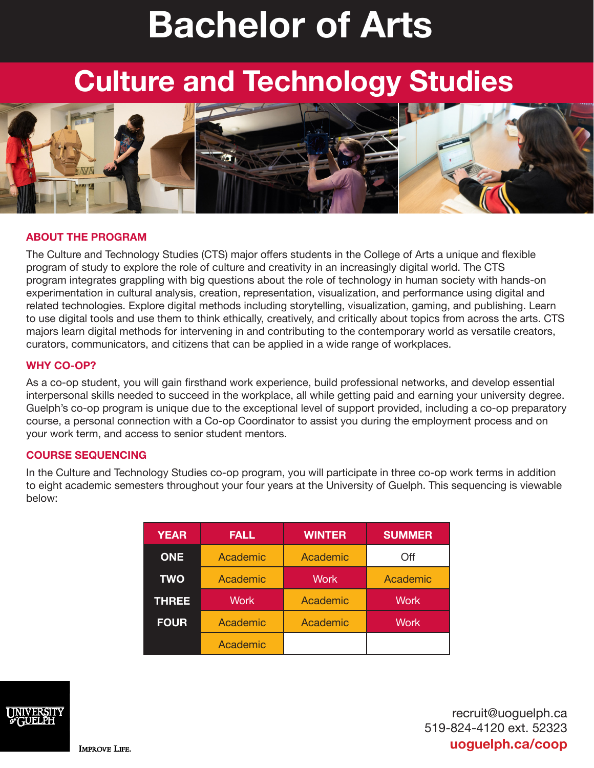# **Bachelor of Arts**

# **Culture and Technology Studies**



# **ABOUT THE PROGRAM**

The Culture and Technology Studies (CTS) major offers students in the College of Arts a unique and flexible program of study to explore the role of culture and creativity in an increasingly digital world. The CTS program integrates grappling with big questions about the role of technology in human society with hands-on experimentation in cultural analysis, creation, representation, visualization, and performance using digital and related technologies. Explore digital methods including storytelling, visualization, gaming, and publishing. Learn to use digital tools and use them to think ethically, creatively, and critically about topics from across the arts. CTS majors learn digital methods for intervening in and contributing to the contemporary world as versatile creators, curators, communicators, and citizens that can be applied in a wide range of workplaces.

#### **WHY CO-OP?**

As a co-op student, you will gain firsthand work experience, build professional networks, and develop essential interpersonal skills needed to succeed in the workplace, all while getting paid and earning your university degree. Guelph's co-op program is unique due to the exceptional level of support provided, including a co-op preparatory course, a personal connection with a Co-op Coordinator to assist you during the employment process and on your work term, and access to senior student mentors.

# **COURSE SEQUENCING**

In the Culture and Technology Studies co-op program, you will participate in three co-op work terms in addition to eight academic semesters throughout your four years at the University of Guelph. This sequencing is viewable below:

| <b>YEAR</b>  | <b>FALL</b> | <b>WINTER</b> | <b>SUMMER</b> |
|--------------|-------------|---------------|---------------|
| <b>ONE</b>   | Academic    | Academic      | Off           |
| <b>TWO</b>   | Academic    | <b>Work</b>   | Academic      |
| <b>THREE</b> | <b>Work</b> | Academic      | <b>Work</b>   |
| <b>FOUR</b>  | Academic    | Academic      | <b>Work</b>   |
|              | Academic    |               |               |



recruit@uoguelph.ca 519-824-4120 ext. 52323 **uoguelph.ca/coop**